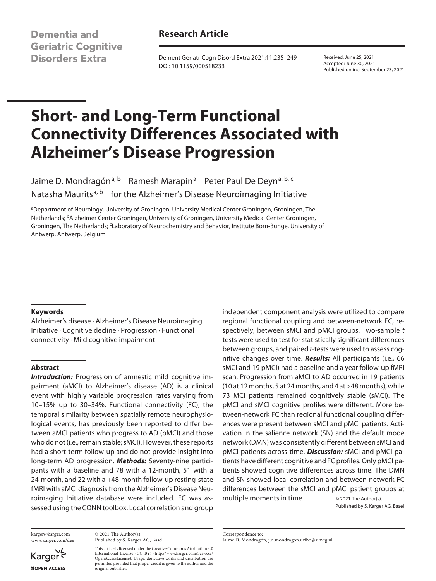**Dementia and Geriatric Cognitive Disorders Extra** 

# **Research Article**

Dement Geriatr Cogn Disord Extra 2021;11:235–249 DOI: 10.1159/000518233

Received: June 25, 2021 Accepted: June 30, 2021 Published online: September 23, 2021

# **Short- and Long-Term Functional Connectivity Differences Associated with Alzheimer's Disease Progression**

Jaime D. Mondragón<sup>a, b</sup> Ramesh Marapin<sup>a</sup> Peter Paul De Deyn<sup>a, b, c</sup> Natasha Maurits<sup>a, b</sup> for the Alzheimer's Disease Neuroimaging Initiative

aDepartment of Neurology, University of Groningen, University Medical Center Groningen, Groningen, The Netherlands; bAlzheimer Center Groningen, University of Groningen, University Medical Center Groningen, Groningen, The Netherlands; <sup>c</sup>Laboratory of Neurochemistry and Behavior, Institute Born-Bunge, University of Antwerp, Antwerp, Belgium

#### **Keywords**

Alzheimer's disease · Alzheimer's Disease Neuroimaging Initiative · Cognitive decline · Progression · Functional connectivity · Mild cognitive impairment

#### **Abstract**

*Introduction:* Progression of amnestic mild cognitive impairment (aMCI) to Alzheimer's disease (AD) is a clinical event with highly variable progression rates varying from 10–15% up to 30–34%. Functional connectivity (FC), the temporal similarity between spatially remote neurophysiological events, has previously been reported to differ between aMCI patients who progress to AD (pMCI) and those who do not (i.e., remain stable; sMCI). However, these reports had a short-term follow-up and do not provide insight into long-term AD progression. *Methods:* Seventy-nine participants with a baseline and 78 with a 12-month, 51 with a 24-month, and 22 with a +48-month follow-up resting-state fMRI with aMCI diagnosis from the Alzheimer's Disease Neuroimaging Initiative database were included. FC was assessed using the CONN toolbox. Local correlation and group

karger@karger.com www.karger.com/dee

© 2021 The Author(s). Published by S. Karger AG, Basel

This article is licensed under the Creative Commons Attribution 4.0 International License (CC BY) (http://www.karger.com/Services/ OpenAccessLicense). Usage, derivative works and distribution are permitted provided that proper credit is given to the author and the original publisher.

independent component analysis were utilized to compare regional functional coupling and between-network FC, respectively, between sMCI and pMCI groups. Two-sample *t* tests were used to test for statistically significant differences between groups, and paired *t*-tests were used to assess cognitive changes over time. *Results:* All participants (i.e., 66 sMCI and 19 pMCI) had a baseline and a year follow-up fMRI scan. Progression from aMCI to AD occurred in 19 patients (10 at 12 months, 5 at 24 months, and 4 at >48 months), while 73 MCI patients remained cognitively stable (sMCI). The pMCI and sMCI cognitive profiles were different. More between-network FC than regional functional coupling differences were present between sMCI and pMCI patients. Activation in the salience network (SN) and the default mode network (DMN) was consistently different between sMCI and pMCI patients across time. *Discussion:* sMCI and pMCI patients have different cognitive and FC profiles. Only pMCI patients showed cognitive differences across time. The DMN and SN showed local correlation and between-network FC differences between the sMCI and pMCI patient groups at multiple moments in time.  $\circ$  2021 The Author(s).

Published by S. Karger AG, Basel

Correspondence to: Jaime D. Mondragón, j.d.mondragon.uribe@umcg.nl

Karger<sup>yl</sup> dopen Access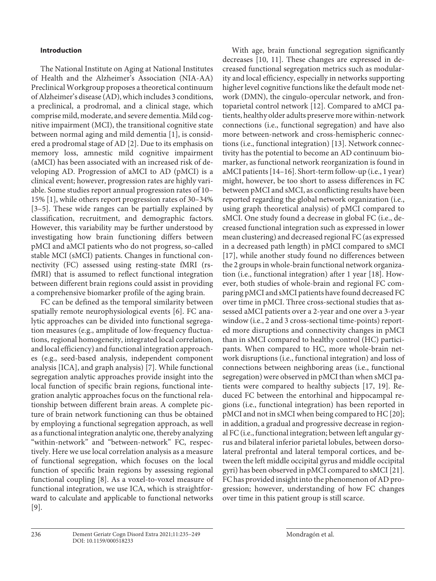## **Introduction**

<span id="page-1-1"></span><span id="page-1-0"></span>The National Institute on Aging at National Institutes of Health and the Alzheimer's Association (NIA-AA) Preclinical Workgroup proposes a theoretical continuum of Alzheimer's disease (AD), which includes 3 conditions, a preclinical, a prodromal, and a clinical stage, which comprise mild, moderate, and severe dementia. Mild cognitive impairment (MCI), the transitional cognitive state between normal aging and mild dementia [\[1\]](#page-14-0), is considered a prodromal stage of AD [[2](#page-14-1)]. Due to its emphasis on memory loss, amnestic mild cognitive impairment (aMCI) has been associated with an increased risk of developing AD. Progression of aMCI to AD (pMCI) is a clinical event; however, progression rates are highly variable. Some studies report annual progression rates of 10– 15% [\[1\]](#page-14-0), while others report progression rates of 30–34% [\[3–](#page-14-2)[5\]](#page-14-3). These wide ranges can be partially explained by classification, recruitment, and demographic factors. However, this variability may be further understood by investigating how brain functioning differs between pMCI and aMCI patients who do not progress, so-called stable MCI (sMCI) patients. Changes in functional connectivity (FC) assessed using resting-state fMRI (rsfMRI) that is assumed to reflect functional integration between different brain regions could assist in providing a comprehensive biomarker profile of the aging brain.

<span id="page-1-15"></span><span id="page-1-14"></span><span id="page-1-13"></span><span id="page-1-12"></span><span id="page-1-11"></span><span id="page-1-6"></span><span id="page-1-5"></span><span id="page-1-4"></span><span id="page-1-3"></span><span id="page-1-2"></span>FC can be defined as the temporal similarity between spatially remote neurophysiological events [\[6](#page-14-4)]. FC analytic approaches can be divided into functional segregation measures (e.g., amplitude of low-frequency fluctuations, regional homogeneity, integrated local correlation, and local efficiency) and functional integration approaches (e.g., seed-based analysis, independent component analysis [ICA], and graph analysis) [[7\]](#page-14-5). While functional segregation analytic approaches provide insight into the local function of specific brain regions, functional integration analytic approaches focus on the functional relationship between different brain areas. A complete picture of brain network functioning can thus be obtained by employing a functional segregation approach, as well as a functional integration analytic one, thereby analyzing "within-network" and "between-network" FC, respectively. Here we use local correlation analysis as a measure of functional segregation, which focuses on the local function of specific brain regions by assessing regional functional coupling [\[8](#page-14-6)]. As a voxel-to-voxel measure of functional integration, we use ICA, which is straightforward to calculate and applicable to functional networks [\[9\]](#page-14-7).

<span id="page-1-10"></span><span id="page-1-9"></span><span id="page-1-8"></span><span id="page-1-7"></span>With age, brain functional segregation significantly decreases [\[10](#page-14-0), [11\]](#page-14-0). These changes are expressed in decreased functional segregation metrics such as modularity and local efficiency, especially in networks supporting higher level cognitive functions like the default mode network (DMN), the cingulo-opercular network, and frontoparietal control network [[1](#page-14-0)[2](#page-14-1)]. Compared to aMCI patients, healthy older adults preserve more within-network connections (i.e., functional segregation) and have also more between-network and cross-hemispheric connections (i.e., functional integration) [[1](#page-14-0)[3](#page-14-2)]. Network connectivity has the potential to become an AD continuum biomarker, as functional network reorganization is found in aMCI patients [[1](#page-14-0)[4–](#page-14-8)[1](#page-14-0)[6\]](#page-14-4). Short-term follow-up (i.e., 1 year) might, however, be too short to assess differences in FC between pMCI and sMCI, as conflicting results have been reported regarding the global network organization (i.e., using graph theoretical analysis) of pMCI compared to sMCI. One study found a decrease in global FC (i.e., decreased functional integration such as expressed in lower mean clustering) and decreased regional FC (as expressed in a decreased path length) in pMCI compared to sMCI [[1](#page-14-0)[7](#page-14-5)], while another study found no differences between the 2 groups in whole-brain functional network organization (i.e., functional integration) after 1 year [\[1](#page-14-0)[8](#page-14-6)]. However, both studies of whole-brain and regional FC comparing pMCI and sMCI patients have found decreased FC over time in pMCI. Three cross-sectional studies that assessed aMCI patients over a 2-year and one over a 3-year window (i.e., 2 and 3 cross-sectional time-points) reported more disruptions and connectivity changes in pMCI than in sMCI compared to healthy control (HC) participants. When compared to HC, more whole-brain network disruptions (i.e., functional integration) and loss of connections between neighboring areas (i.e., functional segregation) were observed in pMCI than when sMCI patients were compared to healthy subjects [\[1](#page-14-0)[7,](#page-14-5) [1](#page-14-0)[9\]](#page-14-7). Reduced FC between the entorhinal and hippocampal regions (i.e., functional integration) has been reported in pMCI and not in sMCI when being compared to HC [[2](#page-14-1)0]; in addition, a gradual and progressive decrease in regional FC (i.e., functional integration; between left angular gyrus and bilateral inferior parietal lobules, between dorsolateral prefrontal and lateral temporal cortices, and between the left middle occipital gyrus and middle occipital gyri) has been observed in pMCI compared to sMCI [[2](#page-14-1)[1](#page-14-0)]. FC has provided insight into the phenomenon of AD progression; however, understanding of how FC changes over time in this patient group is still scarce.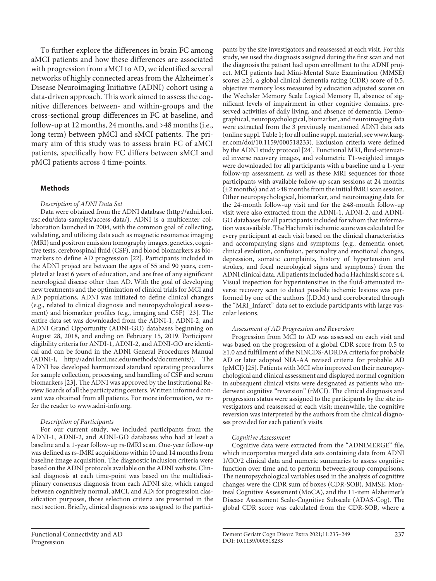To further explore the differences in brain FC among aMCI patients and how these differences are associated with progression from aMCI to AD, we identified several networks of highly connected areas from the Alzheimer's Disease Neuroimaging Initiative (ADNI) cohort using a data-driven approach. This work aimed to assess the cognitive differences between- and within-groups and the cross-sectional group differences in FC at baseline, and follow-up at 12 months, 24 months, and >48 months (i.e., long term) between pMCI and sMCI patients. The primary aim of this study was to assess brain FC of aMCI patients, specifically how FC differs between sMCI and pMCI patients across 4 time-points.

### **Methods**

#### *Description of ADNI Data Set*

<span id="page-2-1"></span><span id="page-2-0"></span>Data were obtained from the ADNI database (http://adni.loni. usc.edu/data-samples/access-data/). ADNI is a multicenter collaboration launched in 2004, with the common goal of collecting, validating, and utilizing data such as magnetic resonance imaging (MRI) and positron emission tomography images, genetics, cognitive tests, cerebrospinal fluid (CSF), and blood biomarkers as biomarkers to define AD progression [\[22](#page-14-1)]. Participants included in the ADNI project are between the ages of 55 and 90 years, completed at least 6 years of education, and are free of any significant neurological disease other than AD. With the goal of developing new treatments and the optimization of clinical trials for MCI and AD populations, ADNI was initiated to define clinical changes (e.g., related to clinical diagnosis and neuropsychological assessment) and biomarker profiles (e.g., imaging and CSF) [[2](#page-14-1)[3\]](#page-14-2). The entire data set was downloaded from the ADNI-1, ADNI-2, and ADNI Grand Opportunity (ADNI-GO) databases beginning on August 28, 2018, and ending on February 15, 2019. Participant eligibility criteria for ANDI-1, ADNI-2, and ADNI-GO are identical and can be found in the ADNI General Procedures Manual (ADNI-I, http://adni.loni.usc.edu/methods/documents/). The ADNI has developed harmonized standard operating procedures for sample collection, processing, and handling of CSF and serum biomarkers [\[2](#page-14-1)[3](#page-14-2)]. The ADNI was approved by the Institutional Review Boards of all the participating centers. Written informed consent was obtained from all patients. For more information, we refer the reader to www.adni-info.org.

#### *Description of Participants*

For our current study, we included participants from the ADNI-1, ADNI-2, and ADNI-GO databases who had at least a baseline and a 1-year follow-up rs-fMRI scan. One-year follow-up was defined as rs-fMRI acquisitions within 10 and 14 months from baseline image acquisition. The diagnostic inclusion criteria were based on the ADNI protocols available on the ADNI website. Clinical diagnosis at each time-point was based on the multidisciplinary consensus diagnosis from each ADNI site, which ranged between cognitively normal, aMCI, and AD; for progression classification purposes, those selection criteria are presented in the next section. Briefly, clinical diagnosis was assigned to the partici<span id="page-2-2"></span>pants by the site investigators and reassessed at each visit. For this study, we used the diagnosis assigned during the first scan and not the diagnosis the patient had upon enrollment to the ADNI project. MCI patients had Mini-Mental State Examination (MMSE) scores ≥24, a global clinical dementia rating (CDR) score of 0.5, objective memory loss measured by education adjusted scores on the Wechsler Memory Scale Logical Memory II, absence of significant levels of impairment in other cognitive domains, preserved activities of daily living, and absence of dementia. Demographical, neuropsychological, biomarker, and neuroimaging data were extracted from the 3 previously mentioned ADNI data sets (online suppl. Table 1; for all online suppl. material, see www.karger.com/doi/10.1159/000518233). Exclusion criteria were defined by the ADNI study protocol [\[2](#page-14-1)[4](#page-14-8)]. Functional MRI, fluid-attenuated inverse recovery images, and volumetric T1-weighted images were downloaded for all participants with a baseline and a 1-year follow-up assessment, as well as these MRI sequences for those participants with available follow-up scan sessions at 24 months (±2 months) and at >48 months from the initial fMRI scan session. Other neuropsychological, biomarker, and neuroimaging data for the 24-month follow-up visit and for the ≥48-month follow-up visit were also extracted from the ADNI-1, ADNI-2, and ADNI-GO databases for all participants included for whom that information was available. The Hachinski ischemic score was calculated for every participant at each visit based on the clinical characteristics and accompanying signs and symptoms (e.g., dementia onset, clinical evolution, confusion, personality and emotional changes, depression, somatic complaints, history of hypertension and strokes, and focal neurological signs and symptoms) from the ADNI clinical data. All patients included had a Hachinski score ≤4. Visual inspection for hyperintensities in the fluid-attenuated inverse recovery scan to detect possible ischemic lesions was performed by one of the authors (J.D.M.) and corroborated through the "MRI\_Infarct" data set to exclude participants with large vascular lesions.

#### *Assessment of AD Progression and Reversion*

<span id="page-2-3"></span>Progression from MCI to AD was assessed on each visit and was based on the progression of a global CDR score from 0.5 to ≥1.0 and fulfillment of the NINCDS-ADRDA criteria for probable AD or later adopted NIA-AA revised criteria for probable AD (pMCI) [[2](#page-14-1)[5\]](#page-14-3). Patients with MCI who improved on their neuropsychological and clinical assessment and displayed normal cognition in subsequent clinical visits were designated as patients who underwent cognitive "reversion" (rMCI). The clinical diagnosis and progression status were assigned to the participants by the site investigators and reassessed at each visit; meanwhile, the cognitive reversion was interpreted by the authors from the clinical diagnoses provided for each patient's visits.

#### *Cognitive Assessment*

Cognitive data were extracted from the "ADNIMERGE" file, which incorporates merged data sets containing data from ADNI 1/GO/2 clinical data and numeric summaries to assess cognitive function over time and to perform between-group comparisons. The neuropsychological variables used in the analysis of cognitive changes were the CDR sum of boxes (CDR-SOB), MMSE, Montreal Cognitive Assessment (MoCA), and the 11-item Alzheimer's Disease Assessment Scale-Cognitive Subscale (ADAS-Cog). The global CDR score was calculated from the CDR-SOB, where a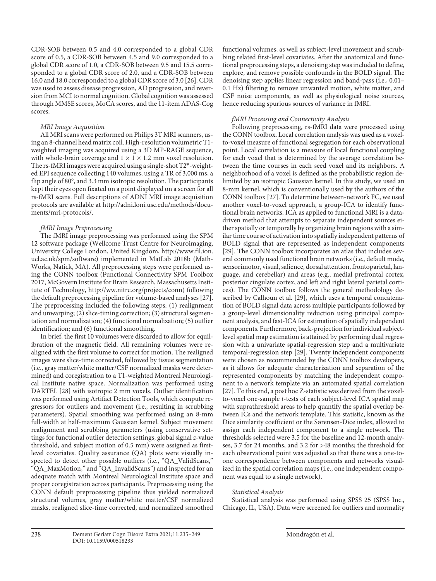CDR-SOB between 0.5 and 4.0 corresponded to a global CDR score of 0.5, a CDR-SOB between 4.5 and 9.0 corresponded to a global CDR score of 1.0, a CDR-SOB between 9.5 and 15.5 corresponded to a global CDR score of 2.0, and a CDR-SOB between 16.0 and 18.0 corresponded to a global CDR score of 3.0 [[2](#page-14-1)[6\]](#page-14-4). CDR was used to assess disease progression, AD progression, and reversion from MCI to normal cognition. Global cognition was assessed through MMSE scores, MoCA scores, and the 11-item ADAS-Cog scores.

#### *MRI Image Acquisition*

All MRI scans were performed on Philips 3T MRI scanners, using an 8-channel head matrix coil. High-resolution volumetric T1 weighted imaging was acquired using a 3D MP-RAGE sequence, with whole-brain coverage and  $1 \times 1 \times 1.2$  mm voxel resolution. The rs-fMRI images were acquired using a single-shot T2\*-weighted EPI sequence collecting 140 volumes, using a TR of 3,000 ms, a flip angle of 80°, and 3.3 mm isotropic resolution. The participants kept their eyes open fixated on a point displayed on a screen for all rs-fMRI scans. Full descriptions of ADNI MRI image acquisition protocols are available at http://adni.loni.usc.edu/methods/documents/mri-protocols/.

## *fMRI Image Preprocessing*

The fMRI image preprocessing was performed using the SPM 12 software package (Wellcome Trust Centre for Neuroimaging, University College London, United Kingdom, http://www.fil.ion. ucl.ac.uk/spm/software) implemented in MatLab 2018b (Math-Works, Natick, MA). All preprocessing steps were performed using the CONN toolbox (Functional Connectivity SPM Toolbox 2017, McGovern Institute for Brain Research, Massachusetts Institute of Technology, http://ww.nitrc.org/projects/conn) following the default preprocessing pipeline for volume-based analyses [[2](#page-14-1)[7\]](#page-14-5). The preprocessing included the following steps: (1) realignment and unwarping; (2) slice-timing correction; (3) structural segmentation and normalization; (4) functional normalization; (5) outlier identification; and (6) functional smoothing.

In brief, the first 10 volumes were discarded to allow for equilibration of the magnetic field. All remaining volumes were realigned with the first volume to correct for motion. The realigned images were slice-time corrected, followed by tissue segmentation (i.e., gray matter/white matter/CSF normalized masks were determined) and coregistration to a T1-weighted Montreal Neurological Institute native space. Normalization was performed using DARTEL [\[2](#page-14-1)[8](#page-14-6)] with isotropic 2 mm voxels. Outlier identification was performed using Artifact Detection Tools, which compute regressors for outliers and movement (i.e., resulting in scrubbing parameters). Spatial smoothing was performed using an 8-mm full-width at half-maximum Gaussian kernel. Subject movement realignment and scrubbing parameters (using conservative settings for functional outlier detection settings, global signal *z*-value threshold, and subject motion of 0.5 mm) were assigned as firstlevel covariates. Quality assurance (QA) plots were visually inspected to detect other possible outliers (i.e., "QA\_ValidScans," "QA\_MaxMotion," and "QA\_InvalidScans") and inspected for an adequate match with Montreal Neurological Institute space and proper coregistration across participants. Preprocessing using the CONN default preprocessing pipeline thus yielded normalized structural volumes, gray matter/white matter/CSF normalized masks, realigned slice-time corrected, and normalized smoothed functional volumes, as well as subject-level movement and scrubbing related first-level covariates. After the anatomical and functional preprocessing steps, a denoising step was included to define, explore, and remove possible confounds in the BOLD signal. The denoising step applies linear regression and band-pass (i.e., 0.01– 0.1 Hz) filtering to remove unwanted motion, white matter, and CSF noise components, as well as physiological noise sources, hence reducing spurious sources of variance in fMRI.

#### *fMRI Processing and Connectivity Analysis*

Following preprocessing, rs-fMRI data were processed using the CONN toolbox. Local correlation analysis was used as a voxelto-voxel measure of functional segregation for each observational point. Local correlation is a measure of local functional coupling for each voxel that is determined by the average correlation between the time courses in each seed voxel and its neighbors. A neighborhood of a voxel is defined as the probabilistic region delimited by an isotropic Gaussian kernel. In this study, we used an 8-mm kernel, which is conventionally used by the authors of the CONN toolbox [\[2](#page-14-1)[7](#page-14-5)]. To determine between-network FC, we used another voxel-to-voxel approach, a group-ICA to identify functional brain networks. ICA as applied to functional MRI is a datadriven method that attempts to separate independent sources either spatially or temporally by organizing brain regions with a similar time course of activation into spatially independent patterns of BOLD signal that are represented as independent components [\[2](#page-14-1)[9](#page-14-7)]. The CONN toolbox incorporates an atlas that includes several commonly used functional brain networks (i.e., default mode, sensorimotor, visual, salience, dorsal attention, frontoparietal, language, and cerebellar) and areas (e.g., medial prefrontal cortex, posterior cingulate cortex, and left and right lateral parietal cortices). The CONN toolbox follows the general methodology described by Calhoun et al. [\[2](#page-14-1)[9\]](#page-14-7), which uses a temporal concatenation of BOLD signal data across multiple participants followed by a group-level dimensionality reduction using principal component analysis, and fast-ICA for estimation of spatially independent components. Furthermore, back-projection for individual subjectlevel spatial map estimation is attained by performing dual regression with a univariate spatial-regression step and a multivariate temporal-regression step [\[2](#page-14-1)[9\]](#page-14-7). Twenty independent components were chosen as recommended by the CONN toolbox developers, as it allows for adequate characterization and separation of the represented components by matching the independent component to a network template via an automated spatial correlation [\[2](#page-14-1)[7](#page-14-5)]. To this end, a post hoc Z-statistic was derived from the voxelto-voxel one-sample *t*-tests of each subject-level ICA spatial map with suprathreshold areas to help quantify the spatial overlap between ICs and the network template. This statistic, known as the Dice similarity coefficient or the Sørensen-Dice index, allowed to assign each independent component to a single network. The thresholds selected were 3.5 for the baseline and 12-month analyses, 3.7 for 24 months, and 3.2 for >48 months; the threshold for each observational point was adjusted so that there was a one-toone correspondence between components and networks visualized in the spatial correlation maps (i.e., one independent component was equal to a single network).

#### *Statistical Analysis*

Statistical analysis was performed using SPSS 25 (SPSS Inc., Chicago, IL, USA). Data were screened for outliers and normality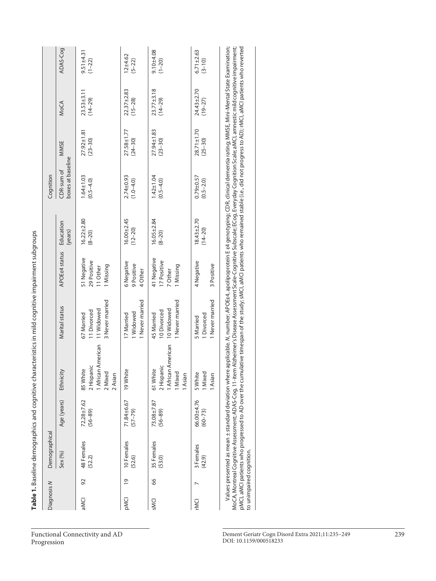| Diagnosis N             |                | Demographical                                      |                           |                                                                                                                                                                                                                                                                                                                                                                                           |                                                                                                                                       |                                                     |                                 | Cognition                        |                                 |                                 |                               |
|-------------------------|----------------|----------------------------------------------------|---------------------------|-------------------------------------------------------------------------------------------------------------------------------------------------------------------------------------------------------------------------------------------------------------------------------------------------------------------------------------------------------------------------------------------|---------------------------------------------------------------------------------------------------------------------------------------|-----------------------------------------------------|---------------------------------|----------------------------------|---------------------------------|---------------------------------|-------------------------------|
|                         |                | Sex (%)                                            | Age (years)               | Ethnicity                                                                                                                                                                                                                                                                                                                                                                                 | Marital status                                                                                                                        | <b>APOE<sub>E</sub></b> status                      | Education<br>(years)            | boxes at baseline<br>CDR-sum of  | MMSE                            | MoCA                            | ADAS-Cog                      |
| aMCI                    | 92             | 48 Females<br>(52.2)                               | 72.28±7.62<br>$(56 - 89)$ | <b>African American</b><br>2 Hispanic<br>85 White<br>2 Mixec<br>2 Asian                                                                                                                                                                                                                                                                                                                   | 3 Never married<br>11 Widowed<br>11 Divorced<br>67 Married                                                                            | 51 Negative<br>29 Positive<br>1 Missing<br>11 Other | $16.22 \pm 2.80$<br>$(8 - 20)$  | $1.64 \pm 1.03$<br>$(0.5 - 4.0)$ | $27.92 \pm 1.81$<br>$(23 - 30)$ | $23.53 \pm 3.11$<br>$(14 - 29)$ | $9.51 \pm 4.31$<br>$(1 - 22)$ |
| <b>PMCI</b>             | $\overline{0}$ | 10 Females<br>(52.6)                               | 71.84±6.67<br>$(57 - 79)$ | 19 White                                                                                                                                                                                                                                                                                                                                                                                  | 1 Never married<br>1 Widowed<br>17 Married                                                                                            | 6 Negative<br>9 Positive<br>4 Other                 | $16.00 + 2.45$<br>$(12 - 20)$   | $2.74 \pm 0.93$<br>$(1.0 - 4.0)$ | 27.58±1.77<br>$(24 - 30)$       | $22.37 + 2.83$<br>$(15 - 28)$   | $12 + 4.62$<br>$(5 - 22)$     |
| SMCI                    | 8              | 35 Females<br>(53.0)                               | 73.08±7.87<br>$(56 - 89)$ | African American<br>2 Hispanic<br>61 White<br>I Mixed<br>1 Asian                                                                                                                                                                                                                                                                                                                          | 1 Never married<br>10 Widowed<br>10 Divorced<br>45 Married                                                                            | 41 Negative<br>17 Positive<br>1 Missing<br>7 Other  | $16.05 \pm 2.84$<br>$(8 - 20)$  | $1.42 \pm 1.04$<br>$(0.5 - 4.0)$ | $27.94 \pm 1.83$<br>$(23 - 30)$ | $23.77 \pm 3.18$<br>$(14 - 29)$ | $9.10 + 4.08$<br>$(1 - 20)$   |
| <b>IDNC</b>             |                | 3 Females<br>(42.9)                                | 66.00±4.76<br>$(60 - 73)$ | <b>Mixed</b><br>5 White<br>I Asian                                                                                                                                                                                                                                                                                                                                                        | 1 Never married<br>1 Divorced<br>5 Married                                                                                            | 4 Negative<br>3 Positive                            | $18.43 \pm 2.70$<br>$(14 - 20)$ | $0.79 + 0.57$<br>$(0.5 - 2.0)$   | $28.71 \pm 1.70$<br>$(25 - 30)$ | 24.43±2.70<br>$(19 - 27)$       | $6.71 \pm 2.63$<br>$(3 - 10)$ |
| to unimpaired cognition |                | Values presented as mean ± standard deviation when |                           | pMCI, aMCI patients who progressed to AD over the cumulative timespan of the study; sMCI, aMCI patients who remained stable (i.e., did not progress to AD); rMCI, aMCI patients who reverted<br>MoCA, Montreal Cognitive Assessment; ADAS-Cog, 11-item Alzheimer's Disease Assessment Scale-Cognitive Subscale; ECog, Everyday Cognition Scale; aMCI, amnestic mild cognitive impairment; | re applicable. N, number; APOEe4, apolipoprotein E e4 genotyping; CDR, clinical dementia rating; MMSE, Mini-Mental State Examination; |                                                     |                                 |                                  |                                 |                                 |                               |

Table 1. Baseline demographics and cognitive characteristics in mild cognitive impairment subgroups **Table 1.** Baseline demographics and cognitive characteristics in mild cognitive impairment subgroups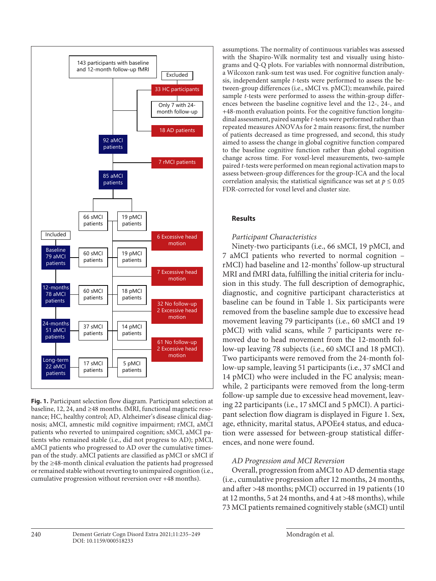

**Fig. 1.** Participant selection flow diagram. Participant selection at baseline, 12, 24, and ≥48 months. fMRI, functional magnetic resonance; HC, healthy control; AD, Alzheimer's disease clinical diagnosis; aMCI, amnestic mild cognitive impairment; rMCI, aMCI patients who reverted to unimpaired cognition; sMCI, aMCI patients who remained stable (i.e., did not progress to AD); pMCI, aMCI patients who progressed to AD over the cumulative timespan of the study. aMCI patients are classified as pMCI or sMCI if by the ≥48-month clinical evaluation the patients had progressed or remained stable without reverting to unimpaired cognition (i.e., cumulative progression without reversion over +48 months).

assumptions. The normality of continuous variables was assessed with the Shapiro-Wilk normality test and visually using histograms and Q-Q plots. For variables with nonnormal distribution, a Wilcoxon rank-sum test was used. For cognitive function analysis, independent sample *t*-tests were performed to assess the between-group differences (i.e., sMCI vs. pMCI); meanwhile, paired sample *t*-tests were performed to assess the within-group differences between the baseline cognitive level and the 12-, 24-, and +48-month evaluation points. For the cognitive function longitudinal assessment, paired sample *t*-tests were performed rather than repeated measures ANOVAs for 2 main reasons: first, the number of patients decreased as time progressed, and second, this study aimed to assess the change in global cognitive function compared to the baseline cognitive function rather than global cognition change across time. For voxel-level measurements, two-sample paired *t*-tests were performed on mean regional activation maps to assess between-group differences for the group-ICA and the local correlation analysis; the statistical significance was set at  $p \leq 0.05$ FDR-corrected for voxel level and cluster size.

# **Results**

# *Participant Characteristics*

Ninety-two participants (i.e., 66 sMCI, 19 pMCI, and 7 aMCI patients who reverted to normal cognition – rMCI) had baseline and 12-months' follow-up structural MRI and fMRI data, fulfilling the initial criteria for inclusion in this study. The full description of demographic, diagnostic, and cognitive participant characteristics at baseline can be found in Table 1. Six participants were removed from the baseline sample due to excessive head movement leaving 79 participants (i.e., 60 sMCI and 19 pMCI) with valid scans, while 7 participants were removed due to head movement from the 12-month follow-up leaving 78 subjects (i.e., 60 sMCI and 18 pMCI). Two participants were removed from the 24-month follow-up sample, leaving 51 participants (i.e., 37 sMCI and 14 pMCI) who were included in the FC analysis; meanwhile, 2 participants were removed from the long-term follow-up sample due to excessive head movement, leaving 22 participants (i.e., 17 sMCI and 5 pMCI). A participant selection flow diagram is displayed in Figure 1. Sex, age, ethnicity, marital status, APOEε4 status, and education were assessed for between-group statistical differences, and none were found.

# *AD Progression and MCI Reversion*

Overall, progression from aMCI to AD dementia stage (i.e., cumulative progression after 12 months, 24 months, and after >48 months; pMCI) occurred in 19 patients (10 at 12 months, 5 at 24 months, and 4 at >48 months), while 73 MCI patients remained cognitively stable (sMCI) until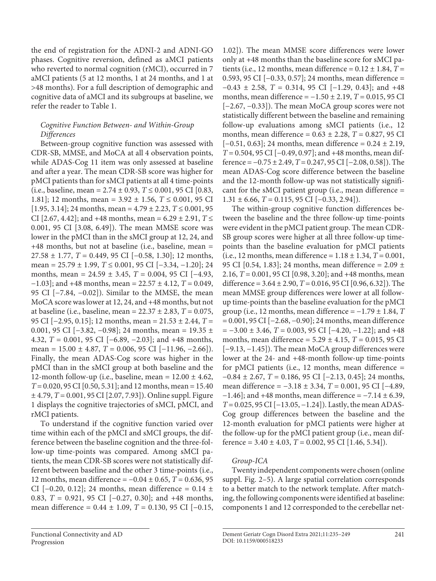the end of registration for the ADNI-2 and ADNI-GO phases. Cognitive reversion, defined as aMCI patients who reverted to normal cognition (rMCI), occurred in 7 aMCI patients (5 at 12 months, 1 at 24 months, and 1 at >48 months). For a full description of demographic and cognitive data of aMCI and its subgroups at baseline, we refer the reader to Table 1.

# *Cognitive Function Between- and Within-Group Differences*

Between-group cognitive function was assessed with CDR-SB, MMSE, and MoCA at all 4 observation points, while ADAS-Cog 11 item was only assessed at baseline and after a year. The mean CDR-SB score was higher for pMCI patients than for sMCI patients at all 4 time-points (i.e., baseline, mean = 2.74 ± 0.93, *T* ≤ 0.001, 95 CI [0.83, 1.81]; 12 months, mean = 3.92 ± 1.56, *T* ≤ 0.001, 95 CI  $[1.95, 3.14]$ ; 24 months, mean =  $4.79 \pm 2.23$ ,  $T \le 0.001$ , 95 CI  $[2.67, 4.42]$ ; and +48 months, mean =  $6.29 \pm 2.91$ ,  $T \leq$ 0.001, 95 CI [3.08, 6.49]). The mean MMSE score was lower in the pMCI than in the sMCI group at 12, 24, and +48 months, but not at baseline (i.e., baseline, mean = 27.58 ± 1.77, *T* = 0.449, 95 CI [−0.58, 1.30]; 12 months, mean = 25.79 ± 1.99, *T* ≤ 0.001, 95 CI [−3.34, −1.20]; 24 months, mean = 24.59 ± 3.45, *T* = 0.004, 95 CI [−4.93, −1.03]; and +48 months, mean = 22.57 ± 4.12, *T* = 0.049, 95 CI [−7.84, −0.02]). Similar to the MMSE, the mean MoCA score was lower at 12, 24, and +48 months, but not at baseline (i.e., baseline, mean = 22.37 ± 2.83, *T* = 0.075, 95 CI [−2.95, 0.15]; 12 months, mean = 21.53 ± 2.44, *T* = 0.001, 95 CI  $[-3.82, -0.98]$ ; 24 months, mean = 19.35 ± 4.32, *T* = 0.001, 95 CI [−6.89, −2.03]; and +48 months, mean = 15.00 ± 4.87, *T* = 0.006, 95 CI [−11.96, −2.66]). Finally, the mean ADAS-Cog score was higher in the pMCI than in the sMCI group at both baseline and the 12-month follow-up (i.e., baseline, mean =  $12.00 \pm 4.62$ , *T* = 0.020, 95 CI [0.50, 5.31]; and 12 months, mean = 15.40 ± 4.79, *T* = 0.001, 95 CI [2.07, 7.93]). Online suppl. Figure 1 displays the cognitive trajectories of sMCI, pMCI, and rMCI patients.

To understand if the cognitive function varied over time within each of the pMCI and sMCI groups, the difference between the baseline cognition and the three-follow-up time-points was compared. Among sMCI patients, the mean CDR-SB scores were not statistically different between baseline and the other 3 time-points (i.e., 12 months, mean difference = −0.04 ± 0.65, *T* = 0.636, 95 CI [−0.20, 0.12]; 24 months, mean difference =  $0.14 \pm$ 0.83, *T* = 0.921, 95 CI [−0.27, 0.30]; and +48 months, mean difference = 0.44 ± 1.09, *T* = 0.130, 95 CI [−0.15,

1.02]). The mean MMSE score differences were lower only at +48 months than the baseline score for sMCI patients (i.e., 12 months, mean difference =  $0.12 \pm 1.84$ ,  $T =$ 0.593, 95 CI [−0.33, 0.57]; 24 months, mean difference = −0.43 ± 2.58, *T* = 0.314, 95 CI [−1.29, 0.43]; and +48 months, mean difference = −1.50 ± 2.19, *T* = 0.015, 95 CI [−2.67, −0.33]). The mean MoCA group scores were not statistically different between the baseline and remaining follow-up evaluations among sMCI patients (i.e., 12 months, mean difference = 0.63 ± 2.28, *T* = 0.827, 95 CI  $[-0.51, 0.63]$ ; 24 months, mean difference =  $0.24 \pm 2.19$ , *T* = 0.504, 95 CI [−0.49, 0.97]; and +48 months, mean difference = −0.75 ± 2.49, *T* = 0.247, 95 CI [−2.08, 0.58]). The mean ADAS-Cog score difference between the baseline and the 12-month follow-up was not statistically significant for the sMCI patient group (i.e., mean difference =  $1.31 \pm 6.66$ , *T* = 0.115, 95 CI [-0.33, 2.94]).

The within-group cognitive function differences between the baseline and the three follow-up time-points were evident in the pMCI patient group. The mean CDR-SB group scores were higher at all three follow-up timepoints than the baseline evaluation for pMCI patients (i.e., 12 months, mean difference =  $1.18 \pm 1.34$ ,  $T = 0.001$ , 95 CI [0.54, 1.83]; 24 months, mean difference =  $2.09 \pm 1$ 2.16, *T* = 0.001, 95 CI [0.98, 3.20]; and +48 months, mean difference = 3.64 ± 2.90, *T* = 0.016, 95 CI [0.96, 6.32]). The mean MMSE group differences were lower at all followup time-points than the baseline evaluation for the pMCI group (i.e., 12 months, mean difference =  $-1.79 \pm 1.84$ , *T* = 0.001, 95 CI [−2.68, −0.90]; 24 months, mean difference = −3.00 ± 3.46, *T* = 0.003, 95 CI [−4.20, −1.22]; and +48 months, mean difference = 5.29 ± 4.15, *T* = 0.015, 95 CI [−9.13, −1.45]). The mean MoCA group differences were lower at the 24- and +48-month follow-up time-points for pMCI patients (i.e., 12 months, mean difference = −0.84 ± 2.67, *T* = 0.186, 95 CI [−2.13, 0.45]; 24 months, mean difference = −3.18 ± 3.34, *T* = 0.001, 95 CI [−4.89,  $-1.46$ ]; and +48 months, mean difference =  $-7.14 \pm 6.39$ , *T* = 0.025, 95 CI [−13.05, −1.24]). Lastly, the mean ADAS-Cog group differences between the baseline and the 12-month evaluation for pMCI patients were higher at the follow-up for the pMCI patient group (i.e., mean difference =  $3.40 \pm 4.03$ ,  $T = 0.002$ ,  $95 \text{ CI}$  [1.46, 5.34]).

# *Group-ICA*

Twenty independent components were chosen (online suppl. Fig. 2–5). A large spatial correlation corresponds to a better match to the network template. After matching, the following components were identified at baseline: components 1 and 12 corresponded to the cerebellar net-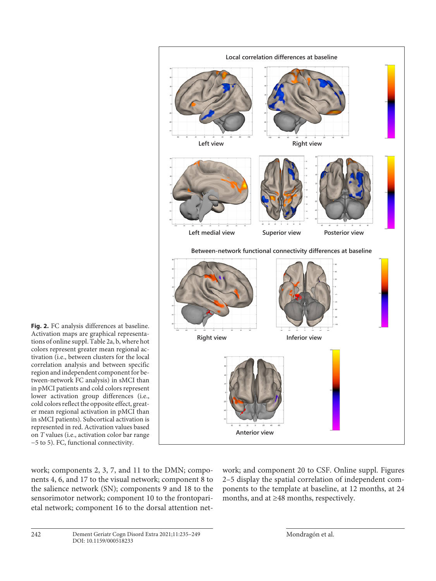

**Fig. 2.** FC analysis differences at baseline. Activation maps are graphical representations of online suppl. Table 2a, b, where hot colors represent greater mean regional activation (i.e., between clusters for the local correlation analysis and between specific region and independent component for between-network FC analysis) in sMCI than in pMCI patients and cold colors represent lower activation group differences (i.e., cold colors reflect the opposite effect, greater mean regional activation in pMCI than in sMCI patients). Subcortical activation is represented in red. Activation values based on *T* values (i.e., activation color bar range −5 to 5). FC, functional connectivity.

work; components 2, 3, 7, and 11 to the DMN; components 4, 6, and 17 to the visual network; component 8 to the salience network (SN); components 9 and 18 to the sensorimotor network; component 10 to the frontoparietal network; component 16 to the dorsal attention network; and component 20 to CSF. Online suppl. Figures 2–5 display the spatial correlation of independent components to the template at baseline, at 12 months, at 24 months, and at ≥48 months, respectively.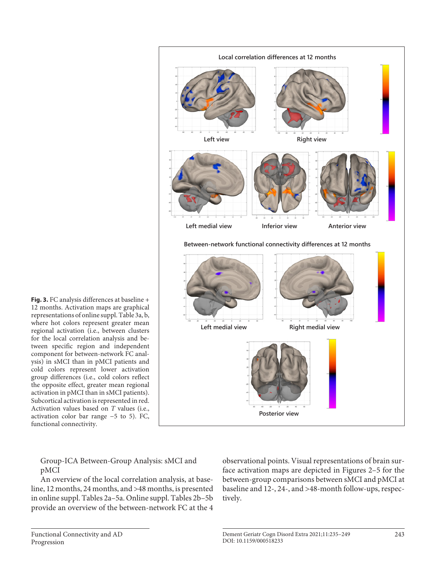

**Fig. 3.** FC analysis differences at baseline + 12 months. Activation maps are graphical representations of online suppl. Table 3a, b, where hot colors represent greater mean regional activation (i.e., between clusters for the local correlation analysis and between specific region and independent component for between-network FC analysis) in sMCI than in pMCI patients and cold colors represent lower activation group differences (i.e., cold colors reflect the opposite effect, greater mean regional activation in pMCI than in sMCI patients). Subcortical activation is represented in red. Activation values based on *T* values (i.e., activation color bar range −5 to 5). FC, functional connectivity.

Group-ICA Between-Group Analysis: sMCI and pMCI

An overview of the local correlation analysis, at baseline, 12 months, 24 months, and >48 months, is presented in online suppl. Tables 2a–5a. Online suppl. Tables 2b–5b provide an overview of the between-network FC at the 4 observational points. Visual representations of brain surface activation maps are depicted in Figures 2–5 for the between-group comparisons between sMCI and pMCI at baseline and 12-, 24-, and >48-month follow-ups, respectively.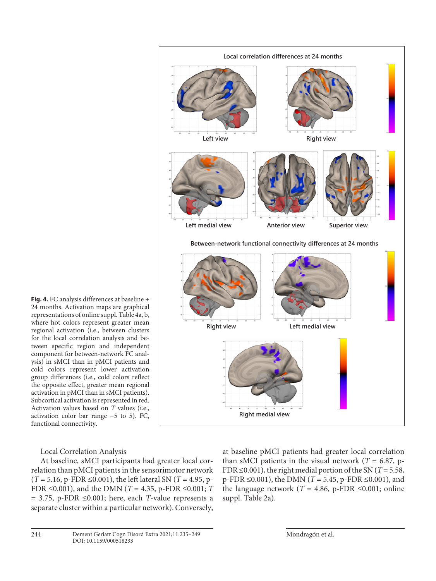

**Fig. 4.** FC analysis differences at baseline + 24 months. Activation maps are graphical representations of online suppl. Table 4a, b, where hot colors represent greater mean regional activation (i.e., between clusters for the local correlation analysis and between specific region and independent component for between-network FC analysis) in sMCI than in pMCI patients and cold colors represent lower activation group differences (i.e., cold colors reflect the opposite effect, greater mean regional activation in pMCI than in sMCI patients). Subcortical activation is represented in red. Activation values based on *T* values (i.e., activation color bar range −5 to 5). FC, functional connectivity.

Local Correlation Analysis

At baseline, sMCI participants had greater local correlation than pMCI patients in the sensorimotor network (*T* = 5.16, p-FDR ≤0.001), the left lateral SN (*T* = 4.95, p-FDR ≤0.001), and the DMN (*T* = 4.35, p-FDR ≤0.001; *T*  $= 3.75$ , p-FDR  $\leq 0.001$ ; here, each *T*-value represents a separate cluster within a particular network). Conversely,

at baseline pMCI patients had greater local correlation than sMCI patients in the visual network ( $T = 6.87$ , p-FDR  $\leq$ 0.001), the right medial portion of the SN (*T* = 5.58, p-FDR ≤0.001), the DMN (*T* = 5.45, p-FDR ≤0.001), and the language network ( $T = 4.86$ , p-FDR  $\leq 0.001$ ; online suppl. Table 2a).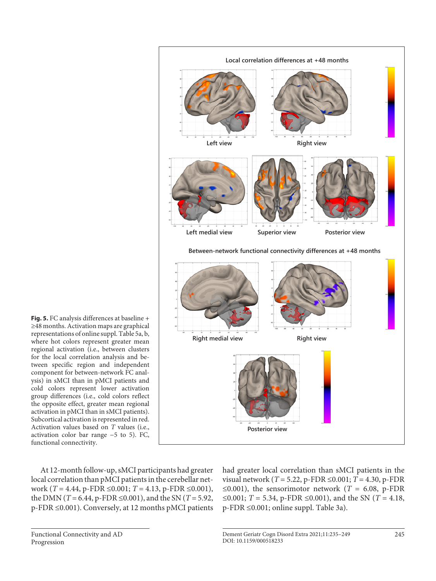

**Fig. 5.** FC analysis differences at baseline + ≥48 months. Activation maps are graphical representations of online suppl. Table 5a, b, where hot colors represent greater mean regional activation (i.e., between clusters for the local correlation analysis and between specific region and independent component for between-network FC analysis) in sMCI than in pMCI patients and cold colors represent lower activation group differences (i.e., cold colors reflect the opposite effect, greater mean regional activation in pMCI than in sMCI patients). Subcortical activation is represented in red. Activation values based on *T* values (i.e., activation color bar range −5 to 5). FC, functional connectivity.

At 12-month follow-up, sMCI participants had greater local correlation than pMCI patients in the cerebellar network (*T* = 4.44, p-FDR ≤0.001; *T* = 4.13, p-FDR ≤0.001), the DMN (*T* = 6.44, p-FDR ≤0.001), and the SN (*T* = 5.92, p-FDR ≤0.001). Conversely, at 12 months pMCI patients had greater local correlation than sMCI patients in the visual network (*T* = 5.22, p-FDR ≤0.001; *T* = 4.30, p-FDR ≤0.001), the sensorimotor network ( $T = 6.08$ , p-FDR ≤0.001; *T* = 5.34, p-FDR ≤0.001), and the SN (*T* = 4.18, p-FDR ≤0.001; online suppl. Table 3a).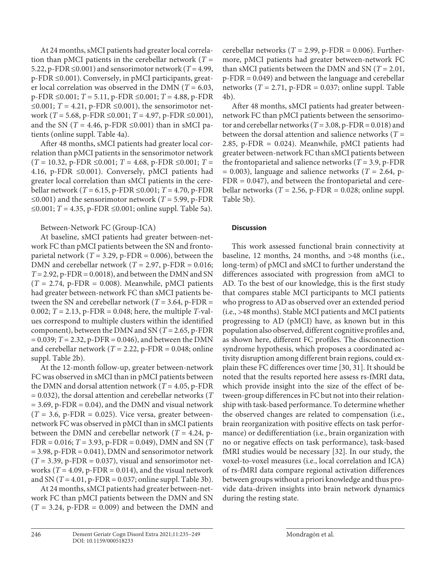At 24 months, sMCI patients had greater local correlation than pMCI patients in the cerebellar network ( $T =$ 5.22, p-FDR  $\leq 0.001$ ) and sensorimotor network (*T* = 4.99, p-FDR ≤0.001). Conversely, in pMCI participants, greater local correlation was observed in the DMN (*T* = 6.03, p-FDR ≤0.001; *T* = 5.11, p-FDR ≤0.001; *T* = 4.88, p-FDR ≤0.001;  $T = 4.21$ , p-FDR ≤0.001), the sensorimotor network (*T* = 5.68, p-FDR ≤0.001; *T* = 4.97, p-FDR ≤0.001), and the SN ( $T = 4.46$ , p-FDR  $\leq 0.001$ ) than in sMCI patients (online suppl. Table 4a).

After 48 months, sMCI patients had greater local correlation than pMCI patients in the sensorimotor network  $(T = 10.32, p\text{-FDR} \leq 0.001; T = 4.68, p\text{-FDR} \leq 0.001; T =$ 4.16, p-FDR ≤0.001). Conversely, pMCI patients had greater local correlation than sMCI patients in the cerebellar network (*T* = 6.15, p-FDR ≤0.001; *T* = 4.70, p-FDR ≤0.001) and the sensorimotor network ( $T = 5.99$ , p-FDR ≤0.001; *T* = 4.35, p-FDR ≤0.001; online suppl. Table 5a).

## Between-Network FC (Group-ICA)

At baseline, sMCI patients had greater between-network FC than pMCI patients between the SN and frontoparietal network ( $T = 3.29$ , p-FDR = 0.006), between the DMN and cerebellar network ( $T = 2.97$ , p-FDR = 0.016;  $T = 2.92$ , p-FDR = 0.0018), and between the DMN and SN  $(T = 2.74, p\text{-FDR} = 0.008)$ . Meanwhile, pMCI patients had greater between-network FC than sMCI patients between the SN and cerebellar network ( $T = 3.64$ , p-FDR = 0.002; *T* = 2.13, p-FDR = 0.048; here, the multiple *T*-values correspond to multiple clusters within the identified component), between the DMN and SN (*T* = 2.65, p-FDR  $= 0.039$ ;  $T = 2.32$ , p-DFR  $= 0.046$ ), and between the DMN and cerebellar network ( $T = 2.22$ , p-FDR = 0.048; online suppl. Table 2b).

At the 12-month follow-up, greater between-network FC was observed in sMCI than in pMCI patients between the DMN and dorsal attention network ( $T = 4.05$ , p-FDR = 0.032), the dorsal attention and cerebellar networks (*T*  $= 3.69$ , p-FDR  $= 0.04$ ), and the DMN and visual network  $(T = 3.6, p\text{-FDR} = 0.025)$ . Vice versa, greater betweennetwork FC was observed in pMCI than in sMCI patients between the DMN and cerebellar network ( $T = 4.24$ , p-FDR = 0.016; *T* = 3.93, p-FDR = 0.049), DMN and SN (*T*  $= 3.98$ , p-FDR  $= 0.041$ ), DMN and sensorimotor network  $(T = 3.39, p\text{-FDR} = 0.037)$ , visual and sensorimotor networks ( $T = 4.09$ , p-FDR = 0.014), and the visual network and SN  $(T = 4.01, p\text{-FDR} = 0.037; \text{online supp.}$  Table 3b).

At 24 months, sMCI patients had greater between-network FC than pMCI patients between the DMN and SN  $(T = 3.24, p\text{-FDR} = 0.009)$  and between the DMN and cerebellar networks ( $T = 2.99$ , p-FDR = 0.006). Furthermore, pMCI patients had greater between-network FC than sMCI patients between the DMN and SN ( $T = 2.01$ , p-FDR = 0.049) and between the language and cerebellar networks  $(T = 2.71, p\text{-FDR} = 0.037; \text{ online suppl. Table}$ 4b).

After 48 months, sMCI patients had greater betweennetwork FC than pMCI patients between the sensorimotor and cerebellar networks ( $T = 3.08$ , p-FDR = 0.018) and between the dorsal attention and salience networks (*T* = 2.85, p-FDR = 0.024). Meanwhile, pMCI patients had greater between-network FC than sMCI patients between the frontoparietal and salience networks ( $T = 3.9$ , p-FDR  $= 0.003$ ), language and salience networks (*T* = 2.64, p- $FDR = 0.047$ , and between the frontoparietal and cerebellar networks ( $T = 2.56$ , p-FDR = 0.028; online suppl. Table 5b).

## **Discussion**

This work assessed functional brain connectivity at baseline, 12 months, 24 months, and >48 months (i.e., long-term) of pMCI and sMCI to further understand the differences associated with progression from aMCI to AD. To the best of our knowledge, this is the first study that compares stable MCI participants to MCI patients who progress to AD as observed over an extended period (i.e., >48 months). Stable MCI patients and MCI patients progressing to AD (pMCI) have, as known but in this population also observed, different cognitive profiles and, as shown here, different FC profiles. The disconnection syndrome hypothesis, which proposes a coordinated activity disruption among different brain regions, could explain these FC differences over time [[30](#page-14-2), [3](#page-14-2)[1\]](#page-14-0). It should be noted that the results reported here assess rs-fMRI data, which provide insight into the size of the effect of between-group differences in FC but not into their relationship with task-based performance. To determine whether the observed changes are related to compensation (i.e., brain reorganization with positive effects on task performance) or dedifferentiation (i.e., brain organization with no or negative effects on task performance), task-based fMRI studies would be necessary [[3](#page-14-2)[2](#page-14-1)]. In our study, the voxel-to-voxel measures (i.e., local correlation and ICA) of rs-fMRI data compare regional activation differences between groups without a priori knowledge and thus provide data-driven insights into brain network dynamics during the resting state.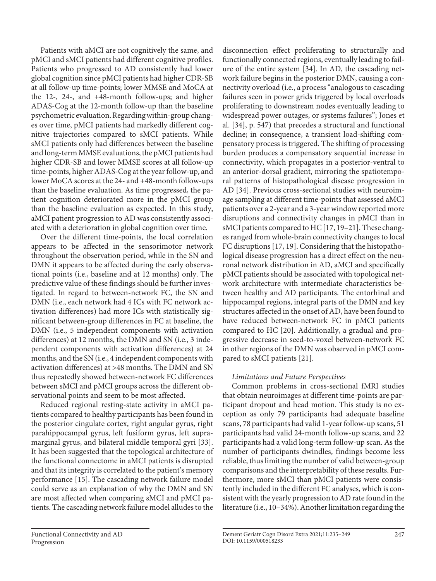Patients with aMCI are not cognitively the same, and pMCI and sMCI patients had different cognitive profiles. Patients who progressed to AD consistently had lower global cognition since pMCI patients had higher CDR-SB at all follow-up time-points; lower MMSE and MoCA at the 12-, 24-, and +48-month follow-ups; and higher ADAS-Cog at the 12-month follow-up than the baseline psychometric evaluation. Regarding within-group changes over time, pMCI patients had markedly different cognitive trajectories compared to sMCI patients. While sMCI patients only had differences between the baseline and long-term MMSE evaluations, the pMCI patients had higher CDR-SB and lower MMSE scores at all follow-up time-points, higher ADAS-Cog at the year follow-up, and lower MoCA scores at the 24- and +48-month follow-ups than the baseline evaluation. As time progressed, the patient cognition deteriorated more in the pMCI group than the baseline evaluation as expected. In this study, aMCI patient progression to AD was consistently associated with a deterioration in global cognition over time.

Over the different time-points, the local correlation appears to be affected in the sensorimotor network throughout the observation period, while in the SN and DMN it appears to be affected during the early observational points (i.e., baseline and at 12 months) only. The predictive value of these findings should be further investigated. In regard to between-network FC, the SN and DMN (i.e., each network had 4 ICs with FC network activation differences) had more ICs with statistically significant between-group differences in FC at baseline, the DMN (i.e., 5 independent components with activation differences) at 12 months, the DMN and SN (i.e., 3 independent components with activation differences) at 24 months, and the SN (i.e., 4 independent components with activation differences) at >48 months. The DMN and SN thus repeatedly showed between-network FC differences between sMCI and pMCI groups across the different observational points and seem to be most affected.

Reduced regional resting-state activity in aMCI patients compared to healthy participants has been found in the posterior cingulate cortex, right angular gyrus, right parahippocampal gyrus, left fusiform gyrus, left supramarginal gyrus, and bilateral middle temporal gyri [\[33\]](#page-14-2). It has been suggested that the topological architecture of the functional connectome in aMCI patients is disrupted and that its integrity is correlated to the patient's memory performance [[1](#page-14-0)[5\]](#page-14-3). The cascading network failure model could serve as an explanation of why the DMN and SN are most affected when comparing sMCI and pMCI patients. The cascading network failure model alludes to the

disconnection effect proliferating to structurally and functionally connected regions, eventually leading to failure of the entire system [\[3](#page-14-2)[4\]](#page-14-8). In AD, the cascading network failure begins in the posterior DMN, causing a connectivity overload (i.e., a process "analogous to cascading failures seen in power grids triggered by local overloads proliferating to downstream nodes eventually leading to widespread power outages, or systems failures"; Jones et al. [[3](#page-14-2)[4](#page-14-8)], p. 547) that precedes a structural and functional decline; in consequence, a transient load-shifting compensatory process is triggered. The shifting of processing burden produces a compensatory sequential increase in connectivity, which propagates in a posterior-ventral to an anterior-dorsal gradient, mirroring the spatiotemporal patterns of histopathological disease progression in AD [\[3](#page-14-2)[4\]](#page-14-8). Previous cross-sectional studies with neuroimage sampling at different time-points that assessed aMCI patients over a 2-year and a 3-year window reported more disruptions and connectivity changes in pMCI than in sMCI patients compared to HC [\[1](#page-14-0)[7,](#page-14-5) [1](#page-14-0)[9](#page-14-7)-2[1\]](#page-14-0). These changes ranged from whole-brain connectivity changes to local FC disruptions [\[1](#page-14-0)[7](#page-14-5), [1](#page-14-0)[9](#page-14-7)]. Considering that the histopathological disease progression has a direct effect on the neuronal network distribution in AD, aMCI and specifically pMCI patients should be associated with topological network architecture with intermediate characteristics between healthy and AD participants. The entorhinal and hippocampal regions, integral parts of the DMN and key structures affected in the onset of AD, have been found to have reduced between-network FC in pMCI patients compared to HC [[2](#page-14-1)0]. Additionally, a gradual and progressive decrease in seed-to-voxel between-network FC in other regions of the DMN was observed in pMCI com-

# *Limitations and Future Perspectives*

pared to sMCI patients [[2](#page-14-1)[1](#page-14-0)].

Common problems in cross-sectional fMRI studies that obtain neuroimages at different time-points are participant dropout and head motion. This study is no exception as only 79 participants had adequate baseline scans, 78 participants had valid 1-year follow-up scans, 51 participants had valid 24-month follow-up scans, and 22 participants had a valid long-term follow-up scan. As the number of participants dwindles, findings become less reliable, thus limiting the number of valid between-group comparisons and the interpretability of these results. Furthermore, more sMCI than pMCI patients were consistently included in the different FC analyses, which is consistent with the yearly progression to AD rate found in the literature (i.e., 10–34%). Another limitation regarding the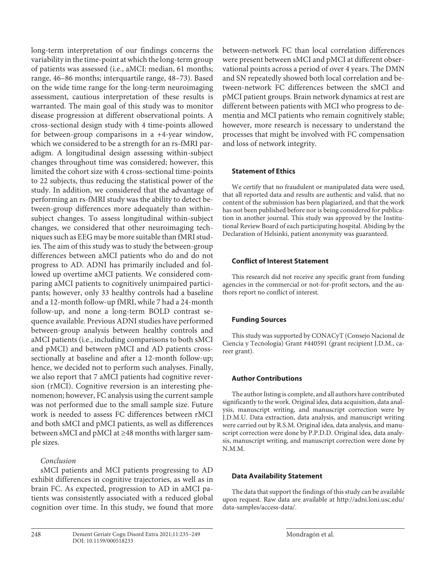long-term interpretation of our findings concerns the variability in the time-point at which the long-term group of patients was assessed (i.e., aMCI: median, 61 months; range, 46–86 months; interquartile range, 48–73). Based on the wide time range for the long-term neuroimaging assessment, cautious interpretation of these results is warranted. The main goal of this study was to monitor disease progression at different observational points. A cross-sectional design study with 4 time-points allowed for between-group comparisons in a +4-year window, which we considered to be a strength for an rs-fMRI paradigm. A longitudinal design assessing within-subject changes throughout time was considered; however, this limited the cohort size with 4 cross-sectional time-points to 22 subjects, thus reducing the statistical power of the study. In addition, we considered that the advantage of performing an rs-fMRI study was the ability to detect between-group differences more adequately than withinsubject changes. To assess longitudinal within-subject changes, we considered that other neuroimaging techniques such as EEG may be more suitable than fMRI studies. The aim of this study was to study the between-group differences between aMCI patients who do and do not progress to AD. ADNI has primarily included and followed up overtime aMCI patients. We considered comparing aMCI patients to cognitively unimpaired participants; however, only 33 healthy controls had a baseline and a 12-month follow-up fMRI, while 7 had a 24-month follow-up, and none a long-term BOLD contrast sequence available. Previous ADNI studies have performed between-group analysis between healthy controls and aMCI patients (i.e., including comparisons to both sMCI and pMCI) and between pMCI and AD patients crosssectionally at baseline and after a 12-month follow-up; hence, we decided not to perform such analyses. Finally, we also report that 7 aMCI patients had cognitive reversion (rMCI). Cognitive reversion is an interesting phenomenon; however, FC analysis using the current sample was not performed due to the small sample size. Future work is needed to assess FC differences between rMCI and both sMCI and pMCI patients, as well as differences between sMCI and pMCI at ≥48 months with larger sample sizes.

# *Conclusion*

sMCI patients and MCI patients progressing to AD exhibit differences in cognitive trajectories, as well as in brain FC. As expected, progression to AD in aMCI patients was consistently associated with a reduced global cognition over time. In this study, we found that more

between-network FC than local correlation differences were present between sMCI and pMCI at different observational points across a period of over 4 years. The DMN and SN repeatedly showed both local correlation and between-network FC differences between the sMCI and pMCI patient groups. Brain network dynamics at rest are different between patients with MCI who progress to dementia and MCI patients who remain cognitively stable; however, more research is necessary to understand the processes that might be involved with FC compensation and loss of network integrity.

## **Statement of Ethics**

We certify that no fraudulent or manipulated data were used, that all reported data and results are authentic and valid, that no content of the submission has been plagiarized, and that the work has not been published before nor is being considered for publication in another journal. This study was approved by the Institutional Review Board of each participating hospital. Abiding by the Declaration of Helsinki, patient anonymity was guaranteed.

## **Conflict of Interest Statement**

This research did not receive any specific grant from funding agencies in the commercial or not-for-profit sectors, and the authors report no conflict of interest.

## **Funding Sources**

This study was supported by CONACyT (Consejo Nacional de Ciencia y Tecnología) Grant #440591 (grant recipient J.D.M., career grant).

## **Author Contributions**

The author listing is complete, and all authors have contributed significantly to the work. Original idea, data acquisition, data analysis, manuscript writing, and manuscript correction were by J.D.M.U. Data extraction, data analysis, and manuscript writing were carried out by R.S.M. Original idea, data analysis, and manuscript correction were done by P.P.D.D. Original idea, data analysis, manuscript writing, and manuscript correction were done by N.M.M.

#### **Data Availability Statement**

The data that support the findings of this study can be available upon request. Raw data are available at http://adni.loni.usc.edu/ data-samples/access-data/.